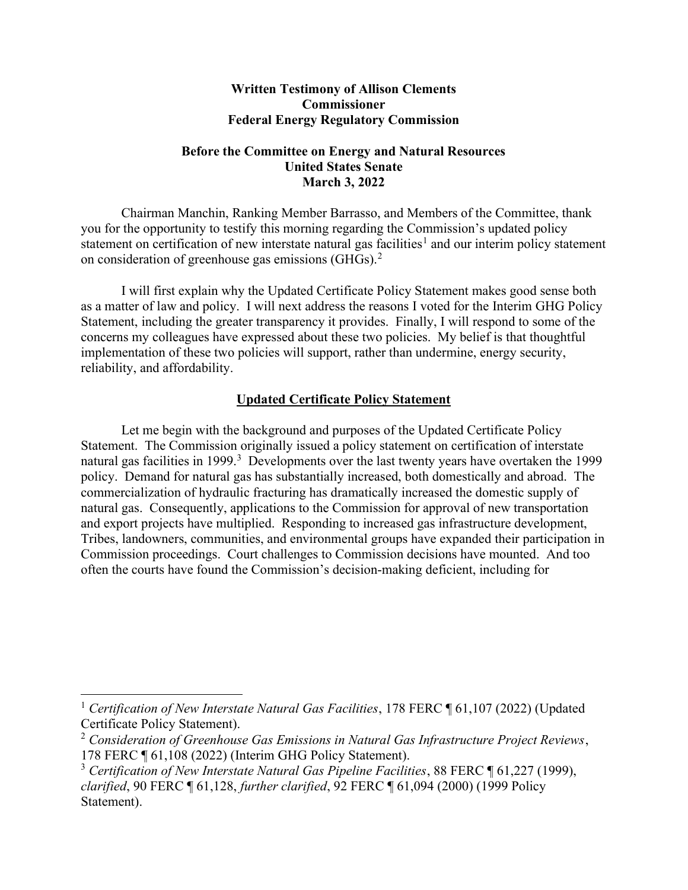## Written Testimony of Allison Clements Commissioner Federal Energy Regulatory Commission

## Before the Committee on Energy and Natural Resources United States Senate March 3, 2022

Chairman Manchin, Ranking Member Barrasso, and Members of the Committee, thank you for the opportunity to testify this morning regarding the Commission's updated policy statement on certification of new interstate natural gas facilities<sup>1</sup> and our interim policy statement on consideration of greenhouse gas emissions (GHGs). $2$ 

I will first explain why the Updated Certificate Policy Statement makes good sense both as a matter of law and policy. I will next address the reasons I voted for the Interim GHG Policy Statement, including the greater transparency it provides. Finally, I will respond to some of the concerns my colleagues have expressed about these two policies. My belief is that thoughtful implementation of these two policies will support, rather than undermine, energy security, reliability, and affordability.

## Updated Certificate Policy Statement

Let me begin with the background and purposes of the Updated Certificate Policy Statement. The Commission originally issued a policy statement on certification of interstate natural gas facilities in 1999.<sup>3</sup> Developments over the last twenty years have overtaken the 1999 policy. Demand for natural gas has substantially increased, both domestically and abroad. The commercialization of hydraulic fracturing has dramatically increased the domestic supply of natural gas. Consequently, applications to the Commission for approval of new transportation and export projects have multiplied. Responding to increased gas infrastructure development, Tribes, landowners, communities, and environmental groups have expanded their participation in Commission proceedings. Court challenges to Commission decisions have mounted. And too often the courts have found the Commission's decision-making deficient, including for

<sup>&</sup>lt;sup>1</sup> Certification of New Interstate Natural Gas Facilities, 178 FERC  $\P$  61,107 (2022) (Updated Certificate Policy Statement).

 $2$  Consideration of Greenhouse Gas Emissions in Natural Gas Infrastructure Project Reviews, 178 FERC ¶ 61,108 (2022) (Interim GHG Policy Statement).

<sup>&</sup>lt;sup>3</sup> Certification of New Interstate Natural Gas Pipeline Facilities, 88 FERC  $\P$  61,227 (1999), clarified, 90 FERC ¶ 61,128, further clarified, 92 FERC ¶ 61,094 (2000) (1999 Policy Statement).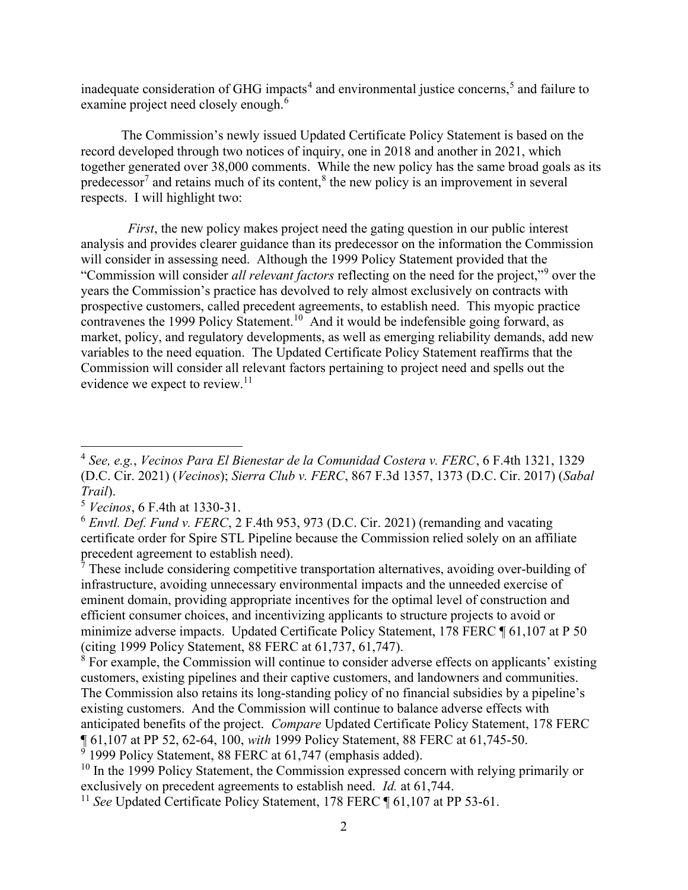inadequate consideration of GHG impacts<sup>4</sup> and environmental justice concerns,<sup>5</sup> and failure to examine project need closely enough.<sup>6</sup>

The Commission's newly issued Updated Certificate Policy Statement is based on the record developed through two notices of inquiry, one in 2018 and another in 2021, which together generated over 38,000 comments. While the new policy has the same broad goals as its predecessor<sup>7</sup> and retains much of its content,<sup>8</sup> the new policy is an improvement in several respects. I will highlight two:

 First, the new policy makes project need the gating question in our public interest analysis and provides clearer guidance than its predecessor on the information the Commission will consider in assessing need. Although the 1999 Policy Statement provided that the "Commission will consider all relevant factors reflecting on the need for the project,"<sup>9</sup> over the years the Commission's practice has devolved to rely almost exclusively on contracts with prospective customers, called precedent agreements, to establish need. This myopic practice contravenes the 1999 Policy Statement.<sup>10</sup> And it would be indefensible going forward, as market, policy, and regulatory developments, as well as emerging reliability demands, add new variables to the need equation. The Updated Certificate Policy Statement reaffirms that the Commission will consider all relevant factors pertaining to project need and spells out the evidence we expect to review.<sup>11</sup>

 $7$  These include considering competitive transportation alternatives, avoiding over-building of infrastructure, avoiding unnecessary environmental impacts and the unneeded exercise of eminent domain, providing appropriate incentives for the optimal level of construction and efficient consumer choices, and incentivizing applicants to structure projects to avoid or minimize adverse impacts. Updated Certificate Policy Statement, 178 FERC ¶ 61,107 at P 50 (citing 1999 Policy Statement, 88 FERC at 61,737, 61,747).

<sup>&</sup>lt;sup>4</sup> See, e.g., Vecinos Para El Bienestar de la Comunidad Costera v. FERC, 6 F.4th 1321, 1329 (D.C. Cir. 2021) (Vecinos); Sierra Club v. FERC, 867 F.3d 1357, 1373 (D.C. Cir. 2017) (Sabal Trail).

<sup>5</sup> Vecinos, 6 F.4th at 1330-31.

 $6$  Envtl. Def. Fund v. FERC, 2 F.4th 953, 973 (D.C. Cir. 2021) (remanding and vacating certificate order for Spire STL Pipeline because the Commission relied solely on an affiliate precedent agreement to establish need).

<sup>&</sup>lt;sup>8</sup> For example, the Commission will continue to consider adverse effects on applicants' existing customers, existing pipelines and their captive customers, and landowners and communities. The Commission also retains its long-standing policy of no financial subsidies by a pipeline's existing customers. And the Commission will continue to balance adverse effects with anticipated benefits of the project. Compare Updated Certificate Policy Statement, 178 FERC ¶ 61,107 at PP 52, 62-64, 100, with 1999 Policy Statement, 88 FERC at 61,745-50.

<sup>&</sup>lt;sup>9</sup> 1999 Policy Statement, 88 FERC at 61,747 (emphasis added).

 $10$  In the 1999 Policy Statement, the Commission expressed concern with relying primarily or exclusively on precedent agreements to establish need. Id. at 61,744.

<sup>&</sup>lt;sup>11</sup> See Updated Certificate Policy Statement, 178 FERC  $\P$  61,107 at PP 53-61.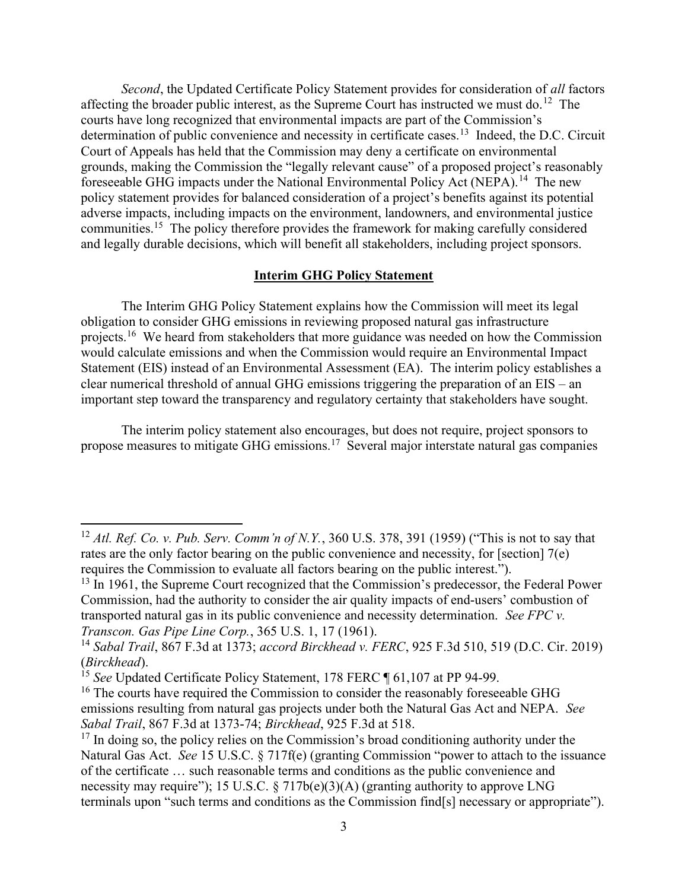Second, the Updated Certificate Policy Statement provides for consideration of all factors affecting the broader public interest, as the Supreme Court has instructed we must do.<sup>12</sup> The courts have long recognized that environmental impacts are part of the Commission's determination of public convenience and necessity in certificate cases.<sup>13</sup> Indeed, the D.C. Circuit Court of Appeals has held that the Commission may deny a certificate on environmental grounds, making the Commission the "legally relevant cause" of a proposed project's reasonably foreseeable GHG impacts under the National Environmental Policy Act (NEPA).<sup>14</sup> The new policy statement provides for balanced consideration of a project's benefits against its potential adverse impacts, including impacts on the environment, landowners, and environmental justice communities.<sup>15</sup> The policy therefore provides the framework for making carefully considered and legally durable decisions, which will benefit all stakeholders, including project sponsors.

## Interim GHG Policy Statement

The Interim GHG Policy Statement explains how the Commission will meet its legal obligation to consider GHG emissions in reviewing proposed natural gas infrastructure projects.<sup>16</sup> We heard from stakeholders that more guidance was needed on how the Commission would calculate emissions and when the Commission would require an Environmental Impact Statement (EIS) instead of an Environmental Assessment (EA). The interim policy establishes a clear numerical threshold of annual GHG emissions triggering the preparation of an EIS – an important step toward the transparency and regulatory certainty that stakeholders have sought.

The interim policy statement also encourages, but does not require, project sponsors to propose measures to mitigate GHG emissions.<sup>17</sup> Several major interstate natural gas companies

<sup>&</sup>lt;sup>12</sup> Atl. Ref. Co. v. Pub. Serv. Comm'n of N.Y., 360 U.S. 378, 391 (1959) ("This is not to say that rates are the only factor bearing on the public convenience and necessity, for [section] 7(e) requires the Commission to evaluate all factors bearing on the public interest.").

<sup>&</sup>lt;sup>13</sup> In 1961, the Supreme Court recognized that the Commission's predecessor, the Federal Power Commission, had the authority to consider the air quality impacts of end-users' combustion of transported natural gas in its public convenience and necessity determination. See FPC v. Transcon. Gas Pipe Line Corp., 365 U.S. 1, 17 (1961).

<sup>14</sup> Sabal Trail, 867 F.3d at 1373; accord Birckhead v. FERC, 925 F.3d 510, 519 (D.C. Cir. 2019) (Birckhead).

<sup>&</sup>lt;sup>15</sup> See Updated Certificate Policy Statement, 178 FERC  $\P$  61,107 at PP 94-99.

<sup>&</sup>lt;sup>16</sup> The courts have required the Commission to consider the reasonably foreseeable GHG emissions resulting from natural gas projects under both the Natural Gas Act and NEPA. See Sabal Trail, 867 F.3d at 1373-74; Birckhead, 925 F.3d at 518.

 $17$  In doing so, the policy relies on the Commission's broad conditioning authority under the Natural Gas Act. See 15 U.S.C. § 717f(e) (granting Commission "power to attach to the issuance of the certificate … such reasonable terms and conditions as the public convenience and necessity may require"); 15 U.S.C.  $\S 717b(e)(3)(A)$  (granting authority to approve LNG terminals upon "such terms and conditions as the Commission find[s] necessary or appropriate").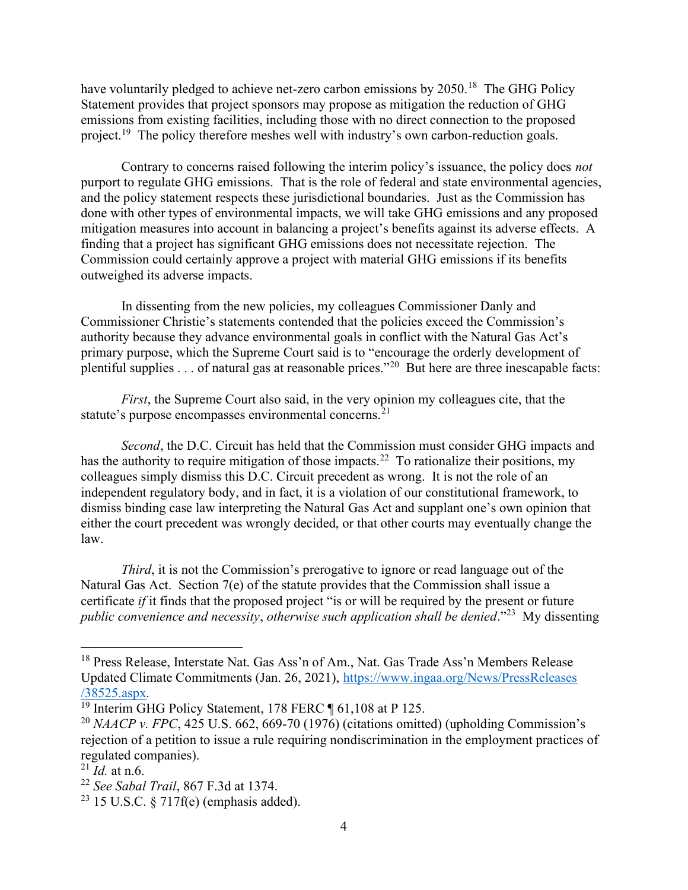have voluntarily pledged to achieve net-zero carbon emissions by 2050.<sup>18</sup> The GHG Policy Statement provides that project sponsors may propose as mitigation the reduction of GHG emissions from existing facilities, including those with no direct connection to the proposed project.<sup>19</sup> The policy therefore meshes well with industry's own carbon-reduction goals.

Contrary to concerns raised following the interim policy's issuance, the policy does *not* purport to regulate GHG emissions. That is the role of federal and state environmental agencies, and the policy statement respects these jurisdictional boundaries. Just as the Commission has done with other types of environmental impacts, we will take GHG emissions and any proposed mitigation measures into account in balancing a project's benefits against its adverse effects. A finding that a project has significant GHG emissions does not necessitate rejection. The Commission could certainly approve a project with material GHG emissions if its benefits outweighed its adverse impacts.

In dissenting from the new policies, my colleagues Commissioner Danly and Commissioner Christie's statements contended that the policies exceed the Commission's authority because they advance environmental goals in conflict with the Natural Gas Act's primary purpose, which the Supreme Court said is to "encourage the orderly development of plentiful supplies . . . of natural gas at reasonable prices."<sup>20</sup> But here are three inescapable facts:

First, the Supreme Court also said, in the very opinion my colleagues cite, that the statute's purpose encompasses environmental concerns.<sup>21</sup>

Second, the D.C. Circuit has held that the Commission must consider GHG impacts and has the authority to require mitigation of those impacts.<sup>22</sup> To rationalize their positions, my colleagues simply dismiss this D.C. Circuit precedent as wrong. It is not the role of an independent regulatory body, and in fact, it is a violation of our constitutional framework, to dismiss binding case law interpreting the Natural Gas Act and supplant one's own opinion that either the court precedent was wrongly decided, or that other courts may eventually change the law.

Third, it is not the Commission's prerogative to ignore or read language out of the Natural Gas Act. Section 7(e) of the statute provides that the Commission shall issue a certificate if it finds that the proposed project "is or will be required by the present or future public convenience and necessity, otherwise such application shall be denied."<sup>23</sup> My dissenting

<sup>&</sup>lt;sup>18</sup> Press Release, Interstate Nat. Gas Ass'n of Am., Nat. Gas Trade Ass'n Members Release Updated Climate Commitments (Jan. 26, 2021), https://www.ingaa.org/News/PressReleases /38525.aspx.

<sup>&</sup>lt;sup>19</sup> Interim GHG Policy Statement, 178 FERC 161,108 at P 125.

<sup>&</sup>lt;sup>20</sup> NAACP v. FPC, 425 U.S. 662, 669-70 (1976) (citations omitted) (upholding Commission's rejection of a petition to issue a rule requiring nondiscrimination in the employment practices of regulated companies).

 $^{21}$  *Id.* at n.6.

 $22$  See Sabal Trail, 867 F.3d at 1374.

 $23$  15 U.S.C. § 717f(e) (emphasis added).